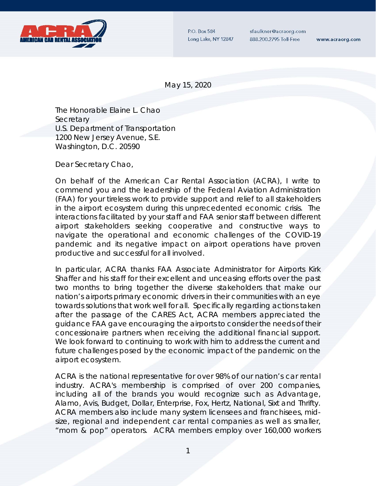

P.O. Box 584 Long Lake, NY 12847 sfaulkner@acraorg.com 888.200.2795 Toll-Free

www.acraorg.com

May 15, 2020

The Honorable Elaine L. Chao **Secretary** U.S. Department of Transportation 1200 New Jersey Avenue, S.E. Washington, D.C. 20590

Dear Secretary Chao,

On behalf of the American Car Rental Association (ACRA), I write to commend you and the leadership of the Federal Aviation Administration (FAA) for your tireless work to provide support and relief to all stakeholders in the airport ecosystem during this unprecedented economic crisis. The interactions facilitated by your staff and FAA senior staff between different airport stakeholders seeking cooperative and constructive ways to navigate the operational and economic challenges of the COVID-19 pandemic and its negative impact on airport operations have proven productive and successful for all involved.

In particular, ACRA thanks FAA Associate Administrator for Airports Kirk Shaffer and his staff for their excellent and unceasing efforts over the past two months to bring together the diverse stakeholders that make our nation's airports primary economic drivers in their communities with an eye towards solutions that work well for all. Specifically regarding actions taken after the passage of the CARES Act, ACRA members appreciated the guidance FAA gave encouraging the airports to consider the needs of their concessionaire partners when receiving the additional financial support. We look forward to continuing to work with him to address the current and future challenges posed by the economic impact of the pandemic on the airport ecosystem.

ACRA is the national representative for over 98% of our nation's car rental industry. ACRA's membership is comprised of over 200 companies, including all of the brands you would recognize such as Advantage, Alamo, Avis, Budget, Dollar, Enterprise, Fox, Hertz, National, Sixt and Thrifty. ACRA members also include many system licensees and franchisees, midsize, regional and independent car rental companies as well as smaller, "mom & pop" operators. ACRA members employ over 160,000 workers